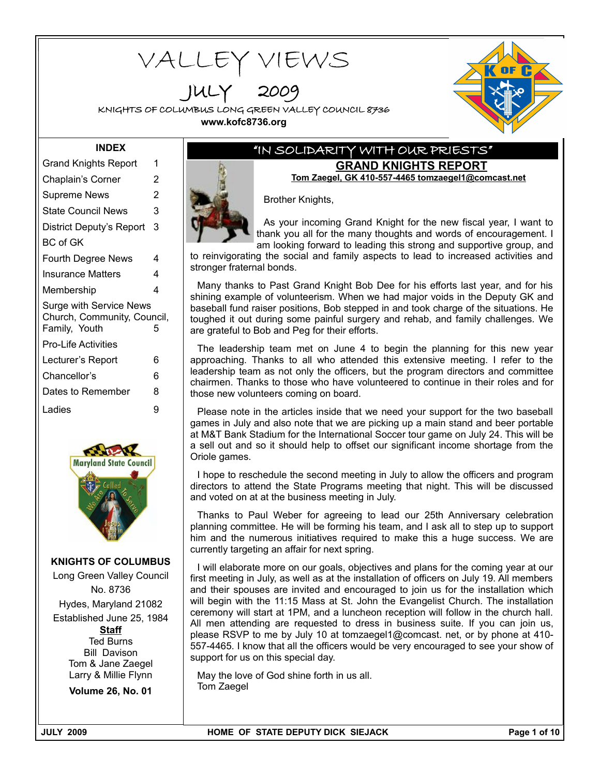# VALLEY VIEWS

JULY 2009

KNIGHTS OF COLUMBUS LONG GREEN VALLEY COUNCIL 8736 **www.kofc8736.org**



#### **INDEX**

| <b>Grand Knights Report</b>                                                         | 1 |  |  |  |  |
|-------------------------------------------------------------------------------------|---|--|--|--|--|
| Chaplain's Corner                                                                   | 2 |  |  |  |  |
| Supreme News                                                                        | 2 |  |  |  |  |
| State Council News                                                                  | 3 |  |  |  |  |
| District Deputy's Report                                                            | 3 |  |  |  |  |
| BC of GK                                                                            |   |  |  |  |  |
| <b>Fourth Degree News</b>                                                           | 4 |  |  |  |  |
| Insurance Matters                                                                   | 4 |  |  |  |  |
| Membership                                                                          | 4 |  |  |  |  |
| <b>Surge with Service News</b><br>Church, Community, Council,<br>Family, Youth<br>5 |   |  |  |  |  |
| Pro-Life Activities                                                                 |   |  |  |  |  |
| Lecturer's Report                                                                   | 6 |  |  |  |  |
| Chancellor's                                                                        | 6 |  |  |  |  |
| Dates to Remember                                                                   | 8 |  |  |  |  |
| Ladies                                                                              | 9 |  |  |  |  |
|                                                                                     |   |  |  |  |  |



**KNIGHTS OF COLUMBUS**

Long Green Valley Council No. 8736 Hydes, Maryland 21082 Established June 25, 1984 **Staff** Ted Burns Bill Davison Tom & Jane Zaegel Larry & Millie Flynn

**Volume 26, No. 01**

## "IN SOLIDARITY WITH OUR PRIESTS" **GRAND KNIGHTS REPORT**

**Tom Zaegel, GK 410-557-4465 tomzaegel1@comcast.net**

Brother Knights,

As your incoming Grand Knight for the new fiscal year, I want to thank you all for the many thoughts and words of encouragement. I am looking forward to leading this strong and supportive group, and

to reinvigorating the social and family aspects to lead to increased activities and stronger fraternal bonds.

Many thanks to Past Grand Knight Bob Dee for his efforts last year, and for his shining example of volunteerism. When we had major voids in the Deputy GK and baseball fund raiser positions, Bob stepped in and took charge of the situations. He toughed it out during some painful surgery and rehab, and family challenges. We are grateful to Bob and Peg for their efforts.

The leadership team met on June 4 to begin the planning for this new year approaching. Thanks to all who attended this extensive meeting. I refer to the leadership team as not only the officers, but the program directors and committee chairmen. Thanks to those who have volunteered to continue in their roles and for those new volunteers coming on board.

Please note in the articles inside that we need your support for the two baseball games in July and also note that we are picking up a main stand and beer portable at M&T Bank Stadium for the International Soccer tour game on July 24. This will be a sell out and so it should help to offset our significant income shortage from the Oriole games.

I hope to reschedule the second meeting in July to allow the officers and program directors to attend the State Programs meeting that night. This will be discussed and voted on at at the business meeting in July.

Thanks to Paul Weber for agreeing to lead our 25th Anniversary celebration planning committee. He will be forming his team, and I ask all to step up to support him and the numerous initiatives required to make this a huge success. We are currently targeting an affair for next spring.

I will elaborate more on our goals, objectives and plans for the coming year at our first meeting in July, as well as at the installation of officers on July 19. All members and their spouses are invited and encouraged to join us for the installation which will begin with the 11:15 Mass at St. John the Evangelist Church. The installation ceremony will start at 1PM, and a luncheon reception will follow in the church hall. All men attending are requested to dress in business suite. If you can join us, please RSVP to me by July 10 at tomzaegel1@comcast. net, or by phone at 410- 557-4465. I know that all the officers would be very encouraged to see your show of support for us on this special day.

May the love of God shine forth in us all. Tom Zaegel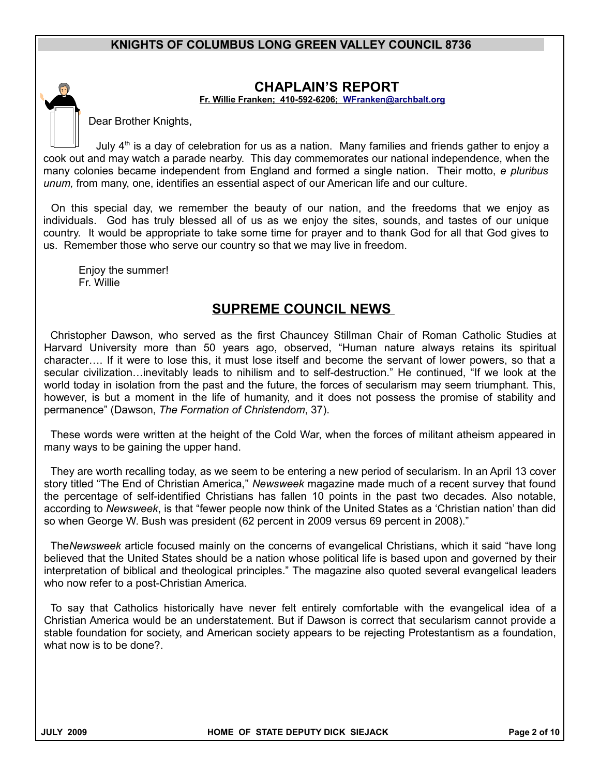

## **CHAPLAIN'S REPORT**

 **Fr. Willie Franken; 410-592-6206; [WFranken@archbalt.org](mailto:WFranken@archbalt.org)**

Dear Brother Knights,

July  $4<sup>th</sup>$  is a day of celebration for us as a nation. Many families and friends gather to enjoy a cook out and may watch a parade nearby. This day commemorates our national independence, when the many colonies became independent from England and formed a single nation. Their motto, *e pluribus unum,* from many, one, identifies an essential aspect of our American life and our culture.

On this special day, we remember the beauty of our nation, and the freedoms that we enjoy as individuals. God has truly blessed all of us as we enjoy the sites, sounds, and tastes of our unique country. It would be appropriate to take some time for prayer and to thank God for all that God gives to us. Remember those who serve our country so that we may live in freedom.

Enjoy the summer! Fr. Willie

## **SUPREME COUNCIL NEWS**

Christopher Dawson, who served as the first Chauncey Stillman Chair of Roman Catholic Studies at Harvard University more than 50 years ago, observed, "Human nature always retains its spiritual character…. If it were to lose this, it must lose itself and become the servant of lower powers, so that a secular civilization…inevitably leads to nihilism and to self-destruction." He continued, "If we look at the world today in isolation from the past and the future, the forces of secularism may seem triumphant. This, however, is but a moment in the life of humanity, and it does not possess the promise of stability and permanence" (Dawson, *The Formation of Christendom*, 37).

These words were written at the height of the Cold War, when the forces of militant atheism appeared in many ways to be gaining the upper hand.

They are worth recalling today, as we seem to be entering a new period of secularism. In an April 13 cover story titled "The End of Christian America," *Newsweek* magazine made much of a recent survey that found the percentage of self-identified Christians has fallen 10 points in the past two decades. Also notable, according to *Newsweek*, is that "fewer people now think of the United States as a 'Christian nation' than did so when George W. Bush was president (62 percent in 2009 versus 69 percent in 2008)."

The*Newsweek* article focused mainly on the concerns of evangelical Christians, which it said "have long believed that the United States should be a nation whose political life is based upon and governed by their interpretation of biblical and theological principles." The magazine also quoted several evangelical leaders who now refer to a post-Christian America.

To say that Catholics historically have never felt entirely comfortable with the evangelical idea of a Christian America would be an understatement. But if Dawson is correct that secularism cannot provide a stable foundation for society, and American society appears to be rejecting Protestantism as a foundation, what now is to be done?.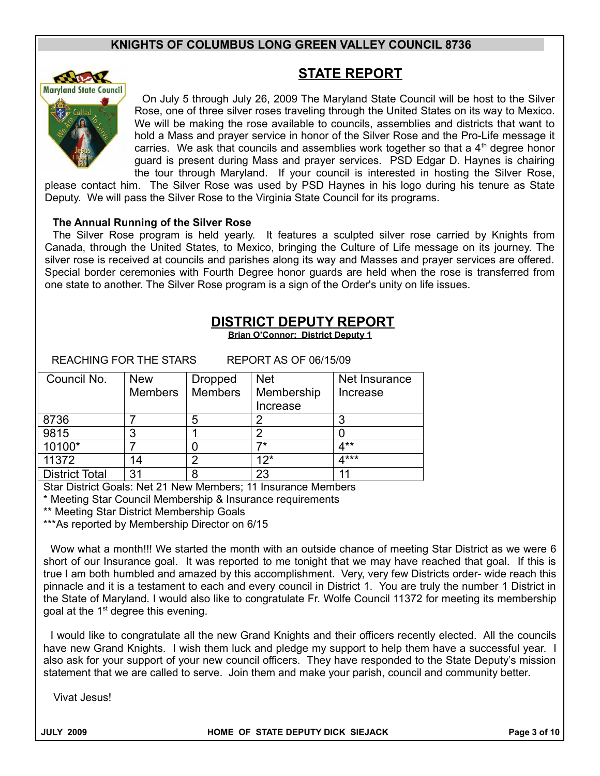

## **STATE REPORT**

On July 5 through July 26, 2009 The Maryland State Council will be host to the Silver Rose, one of three silver roses traveling through the United States on its way to Mexico. We will be making the rose available to councils, assemblies and districts that want to hold a Mass and prayer service in honor of the Silver Rose and the Pro-Life message it carries. We ask that councils and assemblies work together so that a  $4<sup>th</sup>$  degree honor guard is present during Mass and prayer services. PSD Edgar D. Haynes is chairing the tour through Maryland. If your council is interested in hosting the Silver Rose,

please contact him. The Silver Rose was used by PSD Haynes in his logo during his tenure as State Deputy. We will pass the Silver Rose to the Virginia State Council for its programs.

#### **The Annual Running of the Silver Rose**

The Silver Rose program is held yearly. It features a sculpted silver rose carried by Knights from Canada, through the United States, to Mexico, bringing the Culture of Life message on its journey. The silver rose is received at councils and parishes along its way and Masses and prayer services are offered. Special border ceremonies with Fourth Degree honor guards are held when the rose is transferred from one state to another. The Silver Rose program is a sign of the Order's unity on life issues.

## **DISTRICT DEPUTY REPORT**

**Brian O'Connor; District Deputy 1**

REACHING FOR THE STARS REPORT AS OF 06/15/09

| Council No.           | <b>New</b>     | <b>Dropped</b> | <b>Net</b> | Net Insurance |
|-----------------------|----------------|----------------|------------|---------------|
|                       | <b>Members</b> | <b>Members</b> | Membership | Increase      |
|                       |                |                | Increase   |               |
| 8736                  |                | 5              | 2          |               |
| 9815                  |                |                | 2          |               |
| 10100*                |                |                | 7*         | 4**           |
| 11372                 | 14             | າ              | $12*$      | 4***          |
| <b>District Total</b> | 31             | 8              | 23         | 11            |

Star District Goals: Net 21 New Members; 11 Insurance Members

\* Meeting Star Council Membership & Insurance requirements

\*\* Meeting Star District Membership Goals

\*\*\*As reported by Membership Director on 6/15

Wow what a month!!! We started the month with an outside chance of meeting Star District as we were 6 short of our Insurance goal. It was reported to me tonight that we may have reached that goal. If this is true I am both humbled and amazed by this accomplishment. Very, very few Districts order- wide reach this pinnacle and it is a testament to each and every council in District 1. You are truly the number 1 District in the State of Maryland. I would also like to congratulate Fr. Wolfe Council 11372 for meeting its membership goal at the  $1<sup>st</sup>$  degree this evening.

I would like to congratulate all the new Grand Knights and their officers recently elected. All the councils have new Grand Knights. I wish them luck and pledge my support to help them have a successful year. I also ask for your support of your new council officers. They have responded to the State Deputy's mission statement that we are called to serve. Join them and make your parish, council and community better.

Vivat Jesus!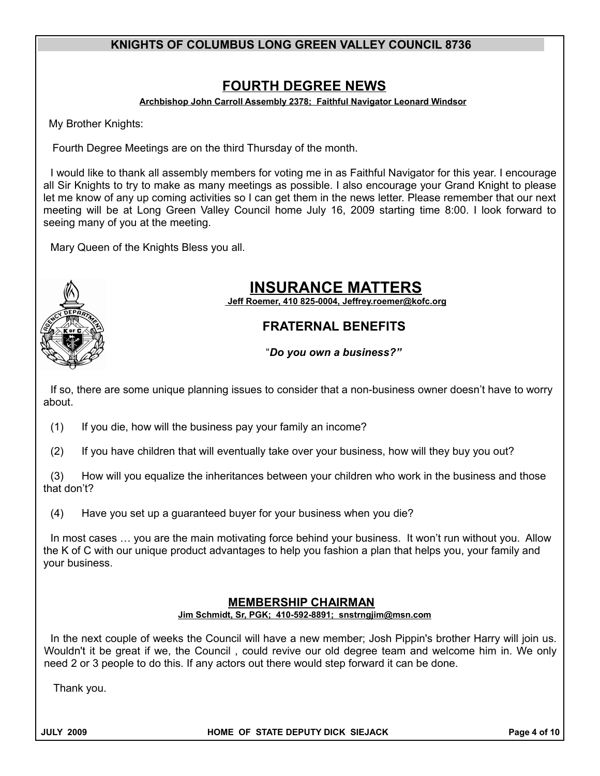# **FOURTH DEGREE NEWS**

 **Archbishop John Carroll Assembly 2378; Faithful Navigator Leonard Windsor**

My Brother Knights:

Fourth Degree Meetings are on the third Thursday of the month.

I would like to thank all assembly members for voting me in as Faithful Navigator for this year. I encourage all Sir Knights to try to make as many meetings as possible. I also encourage your Grand Knight to please let me know of any up coming activities so I can get them in the news letter. Please remember that our next meeting will be at Long Green Valley Council home July 16, 2009 starting time 8:00. I look forward to seeing many of you at the meeting.

Mary Queen of the Knights Bless you all.



# **INSURANCE MATTERS**

 **Jeff Roemer , 410 825-0004, Jeffrey.roemer@kofc.org**

## **FRATERNAL BENEFITS**

"*Do you own a business?"*

If so, there are some unique planning issues to consider that a non-business owner doesn't have to worry about.

(1) If you die, how will the business pay your family an income?

(2) If you have children that will eventually take over your business, how will they buy you out?

(3) How will you equalize the inheritances between your children who work in the business and those that don't?

(4) Have you set up a guaranteed buyer for your business when you die?

In most cases … you are the main motivating force behind your business. It won't run without you. Allow the K of C with our unique product advantages to help you fashion a plan that helps you, your family and your business.

#### **MEMBERSHIP CHAIRMAN Jim Schmidt, Sr, PGK; 410-592-8891; snstrngjim@msn.com**

In the next couple of weeks the Council will have a new member; Josh Pippin's brother Harry will join us. Wouldn't it be great if we, the Council , could revive our old degree team and welcome him in. We only need 2 or 3 people to do this. If any actors out there would step forward it can be done.

Thank you.

**JULY 2009 HOME OF STATE DEPUTY DICK SIEJACK Page 4 of 10**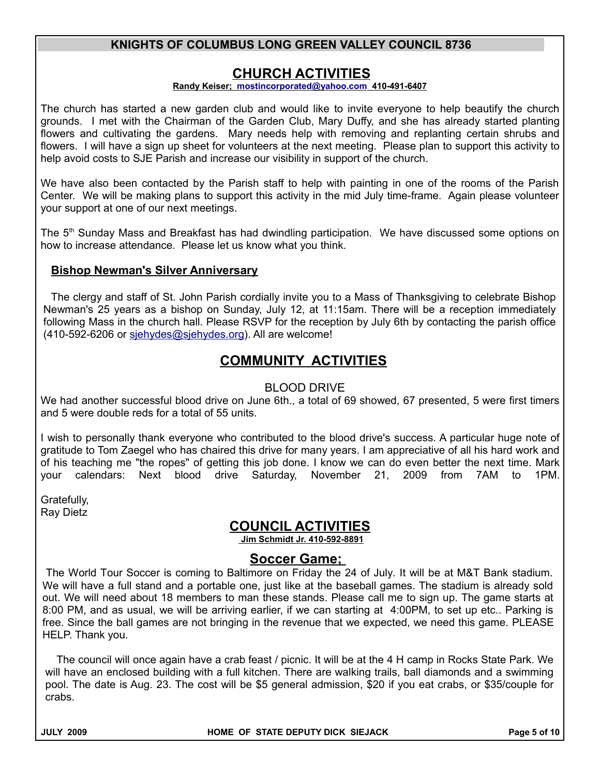## **CHURCH ACTIVITIES**

#### **Randy Keiser; [mostincorporated@yahoo.com](mailto:mostincorporated@yahoo.com) 410-491-6407**

The church has started a new garden club and would like to invite everyone to help beautify the church grounds. I met with the Chairman of the Garden Club, Mary Duffy, and she has already started planting flowers and cultivating the gardens. Mary needs help with removing and replanting certain shrubs and flowers. I will have a sign up sheet for volunteers at the next meeting. Please plan to support this activity to help avoid costs to SJE Parish and increase our visibility in support of the church.

We have also been contacted by the Parish staff to help with painting in one of the rooms of the Parish Center. We will be making plans to support this activity in the mid July time-frame. Again please volunteer your support at one of our next meetings.

The  $5<sup>th</sup>$  Sunday Mass and Breakfast has had dwindling participation. We have discussed some options on how to increase attendance. Please let us know what you think.

#### **Bishop Newman's Silver Anniversary**

The clergy and staff of St. John Parish cordially invite you to a Mass of Thanksgiving to celebrate Bishop Newman's 25 years as a bishop on Sunday, July 12, at 11:15am. There will be a reception immediately following Mass in the church hall. Please RSVP for the reception by July 6th by contacting the parish office (410-592-6206 or [sjehydes@sjehydes.org\)](mailto:sjehydes@sjehydes.org). All are welcome!

# **COMMUNITY ACTIVITIES**

#### BLOOD DRIVE

We had another successful blood drive on June 6th., a total of 69 showed, 67 presented, 5 were first timers and 5 were double reds for a total of 55 units.

I wish to personally thank everyone who contributed to the blood drive's success. A particular huge note of gratitude to Tom Zaegel who has chaired this drive for many years. I am appreciative of all his hard work and of his teaching me "the ropes" of getting this job done. I know we can do even better the next time. Mark your calendars: Next blood drive Saturday, November 21, 2009 from 7AM to 1PM.

Gratefully, Ray Dietz

## **COUNCIL ACTIVITIES**

 **Jim Schmidt Jr. 410-592-8891**

## **Soccer Game;**

The World Tour Soccer is coming to Baltimore on Friday the 24 of July. It will be at M&T Bank stadium. We will have a full stand and a portable one, just like at the baseball games. The stadium is already sold out. We will need about 18 members to man these stands. Please call me to sign up. The game starts at 8:00 PM, and as usual, we will be arriving earlier, if we can starting at 4:00PM, to set up etc.. Parking is free. Since the ball games are not bringing in the revenue that we expected, we need this game. PLEASE HELP. Thank you.

The council will once again have a crab feast / picnic. It will be at the 4 H camp in Rocks State Park. We will have an enclosed building with a full kitchen. There are walking trails, ball diamonds and a swimming pool. The date is Aug. 23. The cost will be \$5 general admission, \$20 if you eat crabs, or \$35/couple for crabs.

**JULY 2009 HOME OF STATE DEPUTY DICK SIEJACK Page 5 of 10**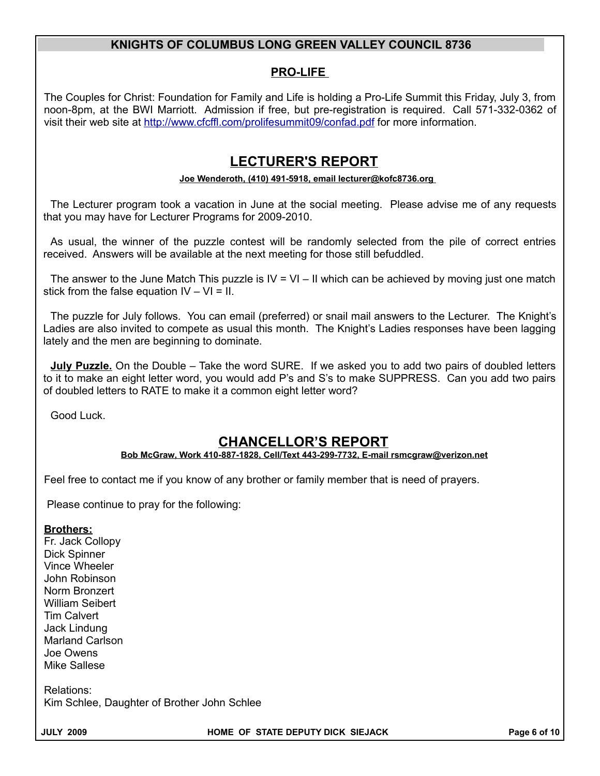### **PRO-LIFE**

The Couples for Christ: Foundation for Family and Life is holding a Pro-Life Summit this Friday, July 3, from noon-8pm, at the BWI Marriott. Admission if free, but pre-registration is required. Call 571-332-0362 of visit their web site at<http://www.cfcffl.com/prolifesummit09/confad.pdf>for more information.

## **LECTURER'S REPORT**

#### **Joe Wenderoth, (410) 491-5918, email lecturer@kofc8736.org**

The Lecturer program took a vacation in June at the social meeting. Please advise me of any requests that you may have for Lecturer Programs for 2009-2010.

As usual, the winner of the puzzle contest will be randomly selected from the pile of correct entries received. Answers will be available at the next meeting for those still befuddled.

The answer to the June Match This puzzle is  $IV = VI - II$  which can be achieved by moving just one match stick from the false equation  $IV - VI = II$ .

The puzzle for July follows. You can email (preferred) or snail mail answers to the Lecturer. The Knight's Ladies are also invited to compete as usual this month. The Knight's Ladies responses have been lagging lately and the men are beginning to dominate.

**July Puzzle.** On the Double – Take the word SURE. If we asked you to add two pairs of doubled letters to it to make an eight letter word, you would add P's and S's to make SUPPRESS. Can you add two pairs of doubled letters to RATE to make it a common eight letter word?

Good Luck.

## **CHANCELLOR'S REPORT**

#### **Bob McGraw, Work 410-887-1828, Cell/Text 443-299-7732, E-mail rsmcgraw@verizon.net**

Feel free to contact me if you know of any brother or family member that is need of prayers.

Please continue to pray for the following:

#### **Brothers:**

Fr. Jack Collopy Dick Spinner Vince Wheeler John Robinson Norm Bronzert William Seibert Tim Calvert Jack Lindung Marland Carlson Joe Owens Mike Sallese

Relations: Kim Schlee, Daughter of Brother John Schlee

**JULY 2009 HOME OF STATE DEPUTY DICK SIEJACK Page 6 of 10**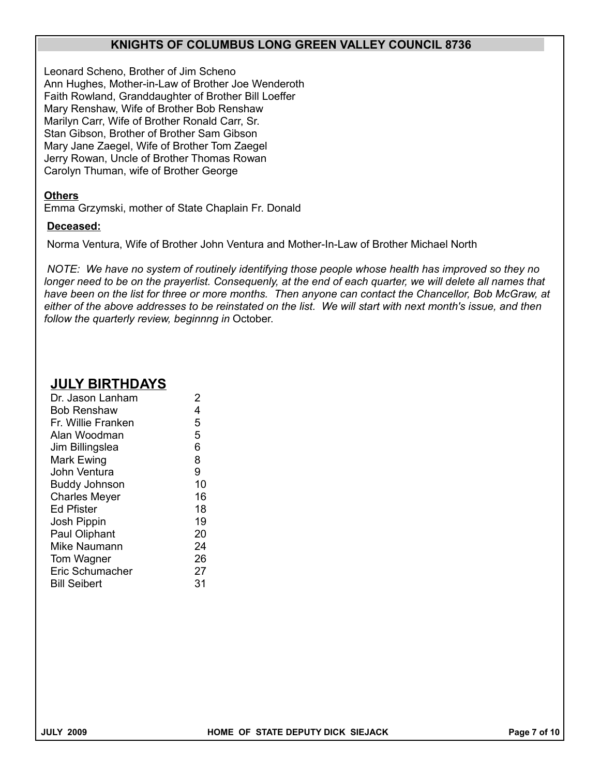Leonard Scheno, Brother of Jim Scheno Ann Hughes, Mother-in-Law of Brother Joe Wenderoth Faith Rowland, Granddaughter of Brother Bill Loeffer Mary Renshaw, Wife of Brother Bob Renshaw Marilyn Carr, Wife of Brother Ronald Carr, Sr. Stan Gibson, Brother of Brother Sam Gibson Mary Jane Zaegel, Wife of Brother Tom Zaegel Jerry Rowan, Uncle of Brother Thomas Rowan Carolyn Thuman, wife of Brother George

#### **Others**

Emma Grzymski, mother of State Chaplain Fr. Donald

#### **Deceased:**

Norma Ventura, Wife of Brother John Ventura and Mother-In-Law of Brother Michael North

*NOTE: We have no system of routinely identifying those people whose health has improved so they no longer need to be on the prayerlist. Consequenly, at the end of each quarter, we will delete all names that have been on the list for three or more months. Then anyone can contact the Chancellor, Bob McGraw, at either of the above addresses to be reinstated on the list. We will start with next month's issue, and then follow the quarterly review, beginnng in* October.

## **JULY BIRTHDAYS**

| Dr. Jason Lanham     | 2  |
|----------------------|----|
| <b>Bob Renshaw</b>   | 4  |
| Fr. Willie Franken   | 5  |
| Alan Woodman         | 5  |
| Jim Billingslea      | 6  |
| Mark Ewing           | 8  |
| John Ventura         | 9  |
| <b>Buddy Johnson</b> | 10 |
| <b>Charles Meyer</b> | 16 |
| <b>Ed Pfister</b>    | 18 |
| Josh Pippin          | 19 |
| Paul Oliphant        | 20 |
| Mike Naumann         | 24 |
| Tom Wagner           | 26 |
| Eric Schumacher      | 27 |
| <b>Bill Seibert</b>  | 31 |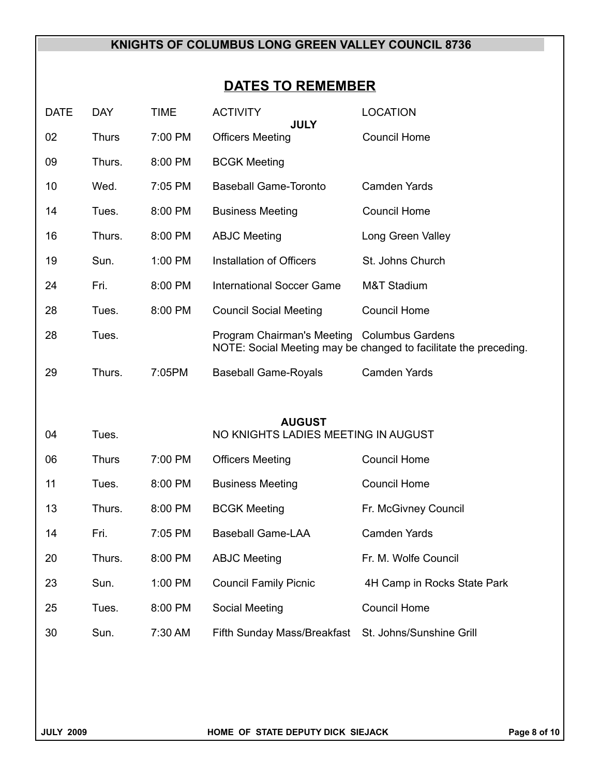# **DATES TO REMEMBER**

| <b>DATE</b> | <b>DAY</b>   | <b>TIME</b> | <b>ACTIVITY</b><br><b>JULY</b>                       | <b>LOCATION</b>                                                  |
|-------------|--------------|-------------|------------------------------------------------------|------------------------------------------------------------------|
| 02          | <b>Thurs</b> | 7:00 PM     | <b>Officers Meeting</b>                              | <b>Council Home</b>                                              |
| 09          | Thurs.       | 8:00 PM     | <b>BCGK Meeting</b>                                  |                                                                  |
| 10          | Wed.         | 7:05 PM     | <b>Baseball Game-Toronto</b>                         | <b>Camden Yards</b>                                              |
| 14          | Tues.        | 8:00 PM     | <b>Business Meeting</b>                              | <b>Council Home</b>                                              |
| 16          | Thurs.       | 8:00 PM     | <b>ABJC Meeting</b>                                  | Long Green Valley                                                |
| 19          | Sun.         | 1:00 PM     | Installation of Officers                             | St. Johns Church                                                 |
| 24          | Fri.         | 8:00 PM     | <b>International Soccer Game</b>                     | <b>M&amp;T Stadium</b>                                           |
| 28          | Tues.        | 8:00 PM     | <b>Council Social Meeting</b>                        | <b>Council Home</b>                                              |
| 28          | Tues.        |             | Program Chairman's Meeting Columbus Gardens          | NOTE: Social Meeting may be changed to facilitate the preceding. |
| 29          | Thurs.       | 7:05PM      | <b>Baseball Game-Royals</b>                          | <b>Camden Yards</b>                                              |
|             |              |             |                                                      |                                                                  |
| 04          | Tues.        |             | <b>AUGUST</b><br>NO KNIGHTS LADIES MEETING IN AUGUST |                                                                  |
|             |              |             |                                                      |                                                                  |
| 06          | <b>Thurs</b> | 7:00 PM     | <b>Officers Meeting</b>                              | <b>Council Home</b>                                              |
| 11          | Tues.        | 8:00 PM     | <b>Business Meeting</b>                              | <b>Council Home</b>                                              |
| 13          | Thurs.       | 8:00 PM     | <b>BCGK Meeting</b>                                  | Fr. McGivney Council                                             |
| 14          | Fri.         | 7:05 PM     | <b>Baseball Game-LAA</b>                             | <b>Camden Yards</b>                                              |
| 20          | Thurs.       | 8:00 PM     | <b>ABJC Meeting</b>                                  | Fr. M. Wolfe Council                                             |
| 23          | Sun.         | 1:00 PM     | <b>Council Family Picnic</b>                         | 4H Camp in Rocks State Park                                      |
| 25          | Tues.        | 8:00 PM     | Social Meeting                                       | <b>Council Home</b>                                              |
| 30          | Sun.         | 7:30 AM     | Fifth Sunday Mass/Breakfast                          | St. Johns/Sunshine Grill                                         |